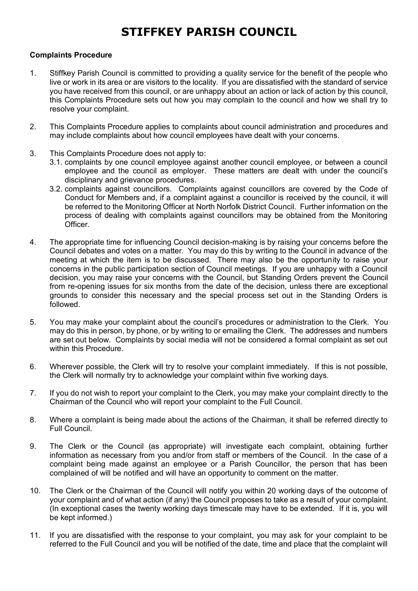## **STIFFKEY PARISH COUNCIL**

## **Complaints Procedure**

- 1. Stiffkey Parish Council is committed to providing a quality service for the benefit of the people who live or work in its area or are visitors to the locality. If you are dissatisfied with the standard of service you have received from this council, or are unhappy about an action or lack of action by this council, this Complaints Procedure sets out how you may complain to the council and how we shall try to resolve your complaint.
- 2. This Complaints Procedure applies to complaints about council administration and procedures and may include complaints about how council employees have dealt with your concerns.
- 3. This Complaints Procedure does not apply to:
	- 3.1. complaints by one council employee against another council employee, or between a council employee and the council as employer. These matters are dealt with under the council's disciplinary and grievance procedures.
	- 3.2. complaints against councillors. Complaints against councillors are covered by the Code of Conduct for Members and, if a complaint against a councillor is received by the council, it will be referred to the Monitoring Officer at North Norfolk District Council. Further information on the process of dealing with complaints against councillors may be obtained from the Monitoring Officer.
- 4. The appropriate time for influencing Council decision-making is by raising your concerns before the Council debates and votes on a matter. You may do this by writing to the Council in advance of the meeting at which the item is to be discussed. There may also be the opportunity to raise your concerns in the public participation section of Council meetings. If you are unhappy with a Council decision, you may raise your concerns with the Council, but Standing Orders prevent the Council from re-opening issues for six months from the date of the decision, unless there are exceptional grounds to consider this necessary and the special process set out in the Standing Orders is followed.
- 5. You may make your complaint about the council's procedures or administration to the Clerk. You may do this in person, by phone, or by writing to or emailing the Clerk. The addresses and numbers are set out below. Complaints by social media will not be considered a formal complaint as set out within this Procedure.
- 6. Wherever possible, the Clerk will try to resolve your complaint immediately. If this is not possible, the Clerk will normally try to acknowledge your complaint within five working days.
- 7. If you do not wish to report your complaint to the Clerk, you may make your complaint directly to the Chairman of the Council who will report your complaint to the Full Council.
- 8. Where a complaint is being made about the actions of the Chairman, it shall be referred directly to Full Council.
- 9. The Clerk or the Council (as appropriate) will investigate each complaint, obtaining further information as necessary from you and/or from staff or members of the Council. In the case of a complaint being made against an employee or a Parish Councillor, the person that has been complained of will be notified and will have an opportunity to comment on the matter.
- 10. The Clerk or the Chairman of the Council will notify you within 20 working days of the outcome of your complaint and of what action (if any) the Council proposes to take as a result of your complaint. (In exceptional cases the twenty working days timescale may have to be extended. If it is, you will be kept informed.)
- 11. If you are dissatisfied with the response to your complaint, you may ask for your complaint to be referred to the Full Council and you will be notified of the date, time and place that the complaint will